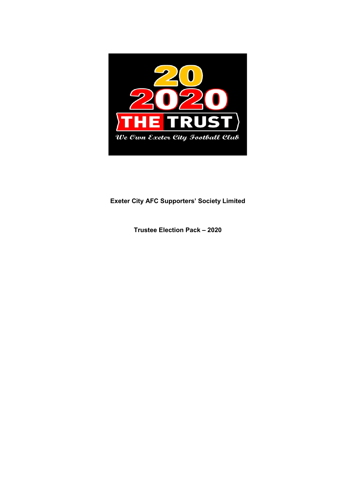

# Exeter City AFC Supporters' Society Limited

Trustee Election Pack – 2020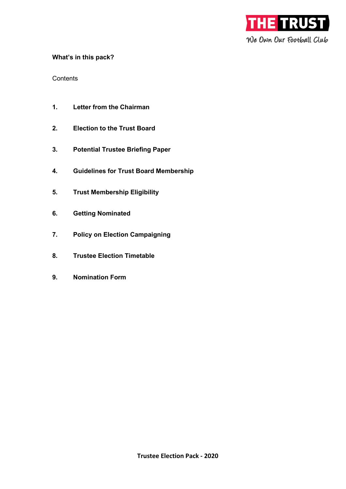

# What's in this pack?

**Contents** 

- 1. Letter from the Chairman
- 2. Election to the Trust Board
- 3. Potential Trustee Briefing Paper
- 4. Guidelines for Trust Board Membership
- 5. Trust Membership Eligibility
- 6. Getting Nominated
- 7. Policy on Election Campaigning
- 8. Trustee Election Timetable
- 9. Nomination Form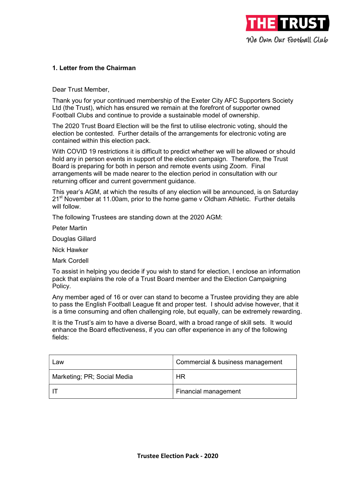

# 1. Letter from the Chairman

Dear Trust Member,

Thank you for your continued membership of the Exeter City AFC Supporters Society Ltd (the Trust), which has ensured we remain at the forefront of supporter owned Football Clubs and continue to provide a sustainable model of ownership.

The 2020 Trust Board Election will be the first to utilise electronic voting, should the election be contested. Further details of the arrangements for electronic voting are contained within this election pack.

With COVID 19 restrictions it is difficult to predict whether we will be allowed or should hold any in person events in support of the election campaign. Therefore, the Trust Board is preparing for both in person and remote events using Zoom. Final arrangements will be made nearer to the election period in consultation with our returning officer and current government guidance.

This year's AGM, at which the results of any election will be announced, is on Saturday 21<sup>st</sup> November at 11.00am, prior to the home game v Oldham Athletic. Further details will follow.

The following Trustees are standing down at the 2020 AGM:

Peter Martin

Douglas Gillard

Nick Hawker

Mark Cordell

To assist in helping you decide if you wish to stand for election, I enclose an information pack that explains the role of a Trust Board member and the Election Campaigning Policy.

Any member aged of 16 or over can stand to become a Trustee providing they are able to pass the English Football League fit and proper test. I should advise however, that it is a time consuming and often challenging role, but equally, can be extremely rewarding.

It is the Trust's aim to have a diverse Board, with a broad range of skill sets. It would enhance the Board effectiveness, if you can offer experience in any of the following fields:

| Law                         | Commercial & business management |
|-----------------------------|----------------------------------|
| Marketing; PR; Social Media | HR                               |
|                             | Financial management             |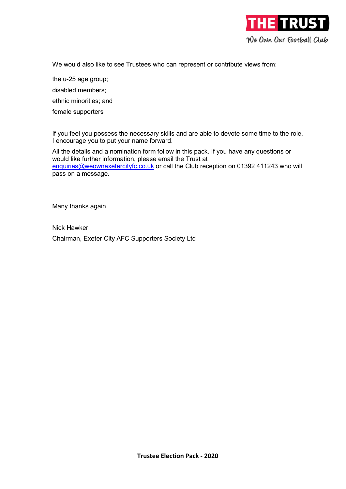

We would also like to see Trustees who can represent or contribute views from:

the u-25 age group;

disabled members;

ethnic minorities; and

female supporters

If you feel you possess the necessary skills and are able to devote some time to the role, I encourage you to put your name forward.

All the details and a nomination form follow in this pack. If you have any questions or would like further information, please email the Trust at enquiries@weownexetercityfc.co.uk or call the Club reception on 01392 411243 who will pass on a message.

Many thanks again.

Nick Hawker Chairman, Exeter City AFC Supporters Society Ltd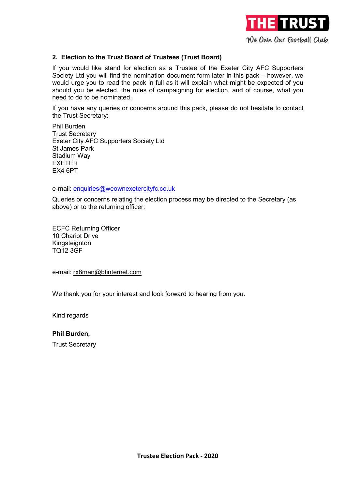

# 2. Election to the Trust Board of Trustees (Trust Board)

If you would like stand for election as a Trustee of the Exeter City AFC Supporters Society Ltd you will find the nomination document form later in this pack – however, we would urge you to read the pack in full as it will explain what might be expected of you should you be elected, the rules of campaigning for election, and of course, what you need to do to be nominated.

If you have any queries or concerns around this pack, please do not hesitate to contact the Trust Secretary:

Phil Burden Trust Secretary Exeter City AFC Supporters Society Ltd St James Park Stadium Way **FXFTFR** EX4 6PT

e-mail: enquiries@weownexetercityfc.co.uk

Queries or concerns relating the election process may be directed to the Secretary (as above) or to the returning officer:

ECFC Returning Officer 10 Chariot Drive Kingsteignton TQ12 3GF

e-mail: rx8man@btinternet.com

We thank you for your interest and look forward to hearing from you.

Kind regards

Phil Burden,

Trust Secretary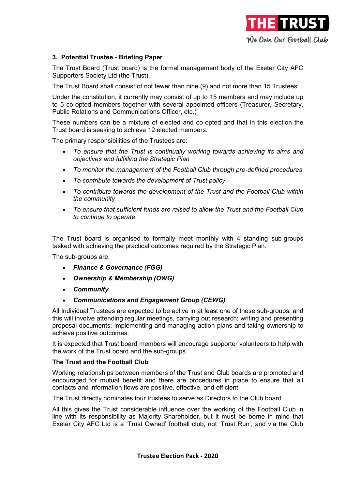

# 3. Potential Trustee - Briefing Paper

The Trust Board (Trust board) is the formal management body of the Exeter City AFC Supporters Society Ltd (the Trust).

The Trust Board shall consist of not fewer than nine (9) and not more than 15 Trustees

Under the constitution, it currently may consist of up to 15 members and may include up to 5 co-opted members together with several appointed officers (Treasurer, Secretary, Public Relations and Communications Officer, etc.)

These numbers can be a mixture of elected and co-opted and that in this election the Trust board is seeking to achieve 12 elected members.

The primary responsibilities of the Trustees are:

- To ensure that the Trust is continually working towards achieving its aims and objectives and fulfilling the Strategic Plan
- To monitor the management of the Football Club through pre-defined procedures
- To contribute towards the development of Trust policy
- To contribute towards the development of the Trust and the Football Club within the community
- To ensure that sufficient funds are raised to allow the Trust and the Football Club to continue to operate

The Trust board is organised to formally meet monthly with 4 standing sub-groups tasked with achieving the practical outcomes required by the Strategic Plan.

The sub-groups are:

- Finance & Governance (FGG)
- Ownership & Membership (OWG)
- Community
- Communications and Engagement Group (CEWG)

All Individual Trustees are expected to be active in at least one of these sub-groups, and this will involve attending regular meetings, carrying out research; writing and presenting proposal documents; implementing and managing action plans and taking ownership to achieve positive outcomes.

It is expected that Trust board members will encourage supporter volunteers to help with the work of the Trust board and the sub-groups.

#### The Trust and the Football Club

Working relationships between members of the Trust and Club boards are promoted and encouraged for mutual benefit and there are procedures in place to ensure that all contacts and information flows are positive, effective, and efficient.

The Trust directly nominates four trustees to serve as Directors to the Club board

All this gives the Trust considerable influence over the working of the Football Club in line with its responsibility as Majority Shareholder, but it must be borne in mind that Exeter City AFC Ltd is a 'Trust Owned' football club, not 'Trust Run', and via the Club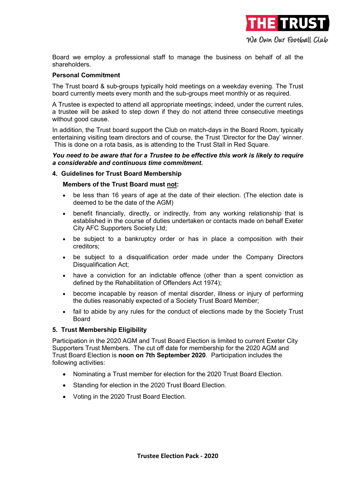

Board we employ a professional staff to manage the business on behalf of all the shareholders.

# Personal Commitment

The Trust board & sub-groups typically hold meetings on a weekday evening. The Trust board currently meets every month and the sub-groups meet monthly or as required.

A Trustee is expected to attend all appropriate meetings; indeed, under the current rules, a trustee will be asked to step down if they do not attend three consecutive meetings without good cause.

In addition, the Trust board support the Club on match-days in the Board Room, typically entertaining visiting team directors and of course, the Trust 'Director for the Day' winner. This is done on a rota basis, as is attending to the Trust Stall in Red Square.

#### You need to be aware that for a Trustee to be effective this work is likely to require a considerable and continuous time commitment.

#### 4. Guidelines for Trust Board Membership

#### Members of the Trust Board must not:

- be less than 16 years of age at the date of their election. (The election date is deemed to be the date of the AGM)
- benefit financially, directly, or indirectly, from any working relationship that is established in the course of duties undertaken or contacts made on behalf Exeter City AFC Supporters Society Ltd;
- be subject to a bankruptcy order or has in place a composition with their creditors;
- be subject to a disqualification order made under the Company Directors Disqualification Act;
- have a conviction for an indictable offence (other than a spent conviction as defined by the Rehabilitation of Offenders Act 1974);
- become incapable by reason of mental disorder, illness or injury of performing the duties reasonably expected of a Society Trust Board Member;
- fail to abide by any rules for the conduct of elections made by the Society Trust Board

# 5. Trust Membership Eligibility

Participation in the 2020 AGM and Trust Board Election is limited to current Exeter City Supporters Trust Members. The cut off date for membership for the 2020 AGM and Trust Board Election is noon on 7th September 2020. Participation includes the following activities:

- Nominating a Trust member for election for the 2020 Trust Board Election.
- Standing for election in the 2020 Trust Board Election.
- Voting in the 2020 Trust Board Election.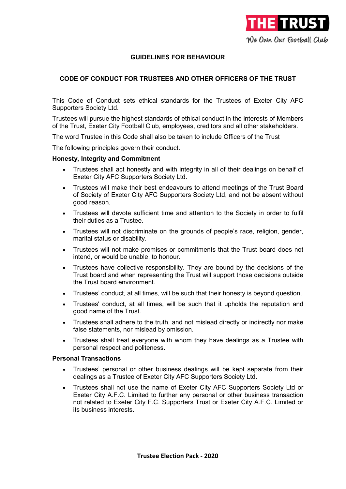

# GUIDELINES FOR BEHAVIOUR

# CODE OF CONDUCT FOR TRUSTEES AND OTHER OFFICERS OF THE TRUST

This Code of Conduct sets ethical standards for the Trustees of Exeter City AFC Supporters Society Ltd.

Trustees will pursue the highest standards of ethical conduct in the interests of Members of the Trust, Exeter City Football Club, employees, creditors and all other stakeholders.

The word Trustee in this Code shall also be taken to include Officers of the Trust

The following principles govern their conduct.

#### Honesty, Integrity and Commitment

- Trustees shall act honestly and with integrity in all of their dealings on behalf of Exeter City AFC Supporters Society Ltd.
- Trustees will make their best endeavours to attend meetings of the Trust Board of Society of Exeter City AFC Supporters Society Ltd, and not be absent without good reason.
- Trustees will devote sufficient time and attention to the Society in order to fulfil their duties as a Trustee.
- Trustees will not discriminate on the grounds of people's race, religion, gender, marital status or disability.
- Trustees will not make promises or commitments that the Trust board does not intend, or would be unable, to honour.
- Trustees have collective responsibility. They are bound by the decisions of the Trust board and when representing the Trust will support those decisions outside the Trust board environment.
- Trustees' conduct, at all times, will be such that their honesty is beyond question.
- Trustees' conduct, at all times, will be such that it upholds the reputation and good name of the Trust.
- Trustees shall adhere to the truth, and not mislead directly or indirectly nor make false statements, nor mislead by omission.
- Trustees shall treat everyone with whom they have dealings as a Trustee with personal respect and politeness.

#### Personal Transactions

- Trustees' personal or other business dealings will be kept separate from their dealings as a Trustee of Exeter City AFC Supporters Society Ltd.
- Trustees shall not use the name of Exeter City AFC Supporters Society Ltd or Exeter City A.F.C. Limited to further any personal or other business transaction not related to Exeter City F.C. Supporters Trust or Exeter City A.F.C. Limited or its business interests.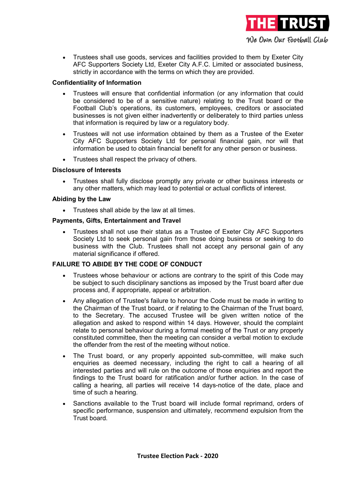

 Trustees shall use goods, services and facilities provided to them by Exeter City AFC Supporters Society Ltd, Exeter City A.F.C. Limited or associated business, strictly in accordance with the terms on which they are provided.

# Confidentiality of Information

- Trustees will ensure that confidential information (or any information that could be considered to be of a sensitive nature) relating to the Trust board or the Football Club's operations, its customers, employees, creditors or associated businesses is not given either inadvertently or deliberately to third parties unless that information is required by law or a regulatory body.
- Trustees will not use information obtained by them as a Trustee of the Exeter City AFC Supporters Society Ltd for personal financial gain, nor will that information be used to obtain financial benefit for any other person or business.
- Trustees shall respect the privacy of others.

# Disclosure of Interests

 Trustees shall fully disclose promptly any private or other business interests or any other matters, which may lead to potential or actual conflicts of interest.

# Abiding by the Law

• Trustees shall abide by the law at all times.

#### Payments, Gifts, Entertainment and Travel

 Trustees shall not use their status as a Trustee of Exeter City AFC Supporters Society Ltd to seek personal gain from those doing business or seeking to do business with the Club. Trustees shall not accept any personal gain of any material significance if offered.

# FAILURE TO ABIDE BY THE CODE OF CONDUCT

- Trustees whose behaviour or actions are contrary to the spirit of this Code may be subject to such disciplinary sanctions as imposed by the Trust board after due process and, if appropriate, appeal or arbitration.
- Any allegation of Trustee's failure to honour the Code must be made in writing to the Chairman of the Trust board, or if relating to the Chairman of the Trust board, to the Secretary. The accused Trustee will be given written notice of the allegation and asked to respond within 14 days. However, should the complaint relate to personal behaviour during a formal meeting of the Trust or any properly constituted committee, then the meeting can consider a verbal motion to exclude the offender from the rest of the meeting without notice.
- The Trust board, or any properly appointed sub-committee, will make such enquiries as deemed necessary, including the right to call a hearing of all interested parties and will rule on the outcome of those enquiries and report the findings to the Trust board for ratification and/or further action. In the case of calling a hearing, all parties will receive 14 days-notice of the date, place and time of such a hearing.
- Sanctions available to the Trust board will include formal reprimand, orders of specific performance, suspension and ultimately, recommend expulsion from the Trust board.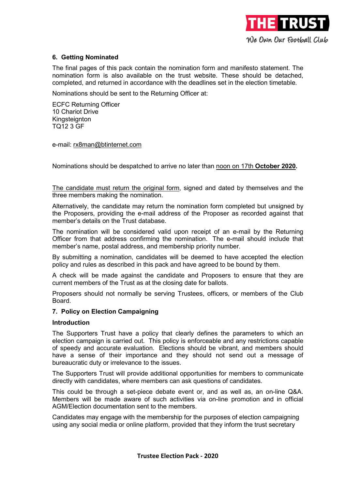

# 6. Getting Nominated

The final pages of this pack contain the nomination form and manifesto statement. The nomination form is also available on the trust website. These should be detached, completed, and returned in accordance with the deadlines set in the election timetable.

Nominations should be sent to the Returning Officer at:

ECFC Returning Officer 10 Chariot Drive Kingsteignton TQ12 3 GF

e-mail: rx8man@btinternet.com

Nominations should be despatched to arrive no later than noon on 17th October 2020.

The candidate must return the original form, signed and dated by themselves and the three members making the nomination.

Alternatively, the candidate may return the nomination form completed but unsigned by the Proposers, providing the e-mail address of the Proposer as recorded against that member's details on the Trust database.

The nomination will be considered valid upon receipt of an e-mail by the Returning Officer from that address confirming the nomination. The e-mail should include that member's name, postal address, and membership priority number.

By submitting a nomination, candidates will be deemed to have accepted the election policy and rules as described in this pack and have agreed to be bound by them.

A check will be made against the candidate and Proposers to ensure that they are current members of the Trust as at the closing date for ballots.

Proposers should not normally be serving Trustees, officers, or members of the Club Board.

### 7. Policy on Election Campaigning

#### Introduction

The Supporters Trust have a policy that clearly defines the parameters to which an election campaign is carried out. This policy is enforceable and any restrictions capable of speedy and accurate evaluation. Elections should be vibrant, and members should have a sense of their importance and they should not send out a message of bureaucratic duty or irrelevance to the issues.

The Supporters Trust will provide additional opportunities for members to communicate directly with candidates, where members can ask questions of candidates.

This could be through a set-piece debate event or, and as well as, an on-line Q&A. Members will be made aware of such activities via on-line promotion and in official AGM/Election documentation sent to the members.

Candidates may engage with the membership for the purposes of election campaigning using any social media or online platform, provided that they inform the trust secretary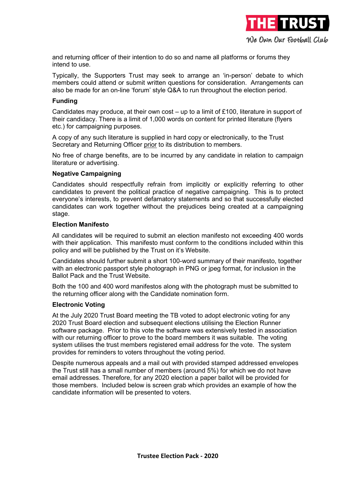

and returning officer of their intention to do so and name all platforms or forums they intend to use.

Typically, the Supporters Trust may seek to arrange an 'in-person' debate to which members could attend or submit written questions for consideration. Arrangements can also be made for an on-line 'forum' style Q&A to run throughout the election period.

#### Funding

Candidates may produce, at their own cost – up to a limit of £100, literature in support of their candidacy. There is a limit of 1,000 words on content for printed literature (flyers etc.) for campaigning purposes.

A copy of any such literature is supplied in hard copy or electronically, to the Trust Secretary and Returning Officer prior to its distribution to members.

No free of charge benefits, are to be incurred by any candidate in relation to campaign literature or advertising.

#### Negative Campaigning

Candidates should respectfully refrain from implicitly or explicitly referring to other candidates to prevent the political practice of negative campaigning. This is to protect everyone's interests, to prevent defamatory statements and so that successfully elected candidates can work together without the prejudices being created at a campaigning stage.

#### Election Manifesto

All candidates will be required to submit an election manifesto not exceeding 400 words with their application. This manifesto must conform to the conditions included within this policy and will be published by the Trust on it's Website.

Candidates should further submit a short 100-word summary of their manifesto, together with an electronic passport style photograph in PNG or jpeg format, for inclusion in the Ballot Pack and the Trust Website.

Both the 100 and 400 word manifestos along with the photograph must be submitted to the returning officer along with the Candidate nomination form.

#### Electronic Voting

At the July 2020 Trust Board meeting the TB voted to adopt electronic voting for any 2020 Trust Board election and subsequent elections utilising the Election Runner software package. Prior to this vote the software was extensively tested in association with our returning officer to prove to the board members it was suitable. The voting system utilises the trust members registered email address for the vote. The system provides for reminders to voters throughout the voting period.

Despite numerous appeals and a mail out with provided stamped addressed envelopes the Trust still has a small number of members (around 5%) for which we do not have email addresses. Therefore, for any 2020 election a paper ballot will be provided for those members. Included below is screen grab which provides an example of how the candidate information will be presented to voters.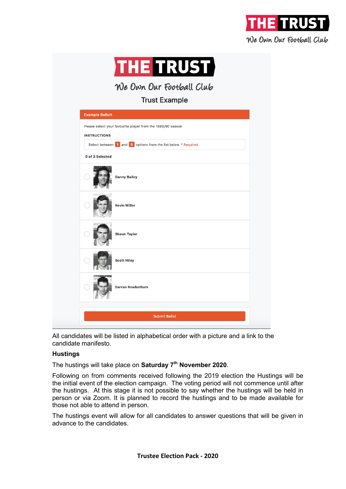



We Own Our Football Club

**Trust Example** 

| <b>Example Ballott</b> |                                                                |
|------------------------|----------------------------------------------------------------|
| <b>INSTRUCTIONS</b>    | Please select your favourite player from the 1989/90 season    |
|                        | Select between 1 and 3 options from the list below. * Required |
| 0 of 3 Selected        |                                                                |
|                        | <b>Danny Bailey</b>                                            |
|                        | <b>Kevin Miller</b>                                            |
|                        | <b>Shaun Taylor</b>                                            |
|                        | <b>Scott Hiley</b>                                             |
|                        | <b>Darran Rowbotham</b>                                        |
|                        |                                                                |
|                        | <b>Submit Ballot</b>                                           |

All candidates will be listed in alphabetical order with a picture and a link to the candidate manifesto.

# **Hustings**

The hustings will take place on Saturday  $7<sup>th</sup>$  November 2020.

Following on from comments received following the 2019 election the Hustings will be the initial event of the election campaign. The voting period will not commence until after the hustings. At this stage it is not possible to say whether the hustings will be held in person or via Zoom. It is planned to record the hustings and to be made available for those not able to attend in person.

The hustings event will allow for all candidates to answer questions that will be given in advance to the candidates.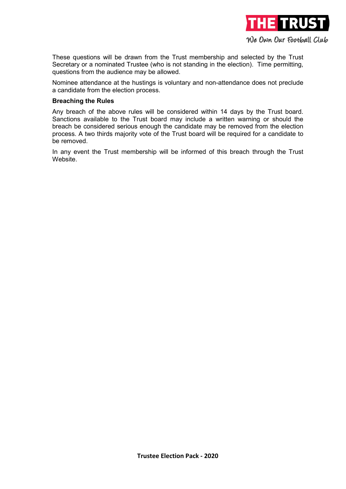

These questions will be drawn from the Trust membership and selected by the Trust Secretary or a nominated Trustee (who is not standing in the election). Time permitting, questions from the audience may be allowed.

Nominee attendance at the hustings is voluntary and non-attendance does not preclude a candidate from the election process.

#### Breaching the Rules

Any breach of the above rules will be considered within 14 days by the Trust board. Sanctions available to the Trust board may include a written warning or should the breach be considered serious enough the candidate may be removed from the election process. A two thirds majority vote of the Trust board will be required for a candidate to be removed.

In any event the Trust membership will be informed of this breach through the Trust Website.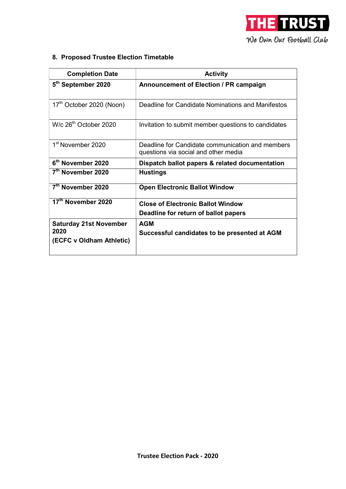

# 8. Proposed Trustee Election Timetable

| <b>Completion Date</b>                                            | <b>Activity</b>                                                                          |  |  |
|-------------------------------------------------------------------|------------------------------------------------------------------------------------------|--|--|
| 5 <sup>th</sup> September 2020                                    | Announcement of Election / PR campaign                                                   |  |  |
| 17 <sup>th</sup> October 2020 (Noon)                              | Deadline for Candidate Nominations and Manifestos                                        |  |  |
| W/c 26 <sup>th</sup> October 2020                                 | Invitation to submit member questions to candidates                                      |  |  |
| 1 <sup>st</sup> November 2020                                     | Deadline for Candidate communication and members<br>questions via social and other media |  |  |
| 6 <sup>th</sup> November 2020                                     | Dispatch ballot papers & related documentation                                           |  |  |
| 7 <sup>th</sup> November 2020                                     | <b>Hustings</b>                                                                          |  |  |
| 7 <sup>th</sup> November 2020                                     | <b>Open Electronic Ballot Window</b>                                                     |  |  |
| 17 <sup>th</sup> November 2020                                    | <b>Close of Electronic Ballot Window</b>                                                 |  |  |
|                                                                   | Deadline for return of ballot papers                                                     |  |  |
| <b>Saturday 21st November</b><br>2020<br>(ECFC v Oldham Athletic) | <b>AGM</b><br>Successful candidates to be presented at AGM                               |  |  |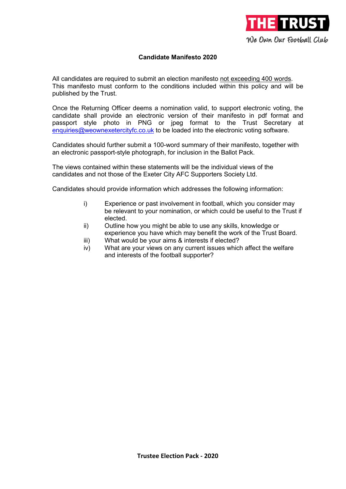

# Candidate Manifesto 2020

All candidates are required to submit an election manifesto not exceeding 400 words. This manifesto must conform to the conditions included within this policy and will be published by the Trust.

Once the Returning Officer deems a nomination valid, to support electronic voting, the candidate shall provide an electronic version of their manifesto in pdf format and passport style photo in PNG or jpeg format to the Trust Secretary at enquiries@weownexetercityfc.co.uk to be loaded into the electronic voting software.

Candidates should further submit a 100-word summary of their manifesto, together with an electronic passport-style photograph, for inclusion in the Ballot Pack.

The views contained within these statements will be the individual views of the candidates and not those of the Exeter City AFC Supporters Society Ltd.

Candidates should provide information which addresses the following information:

- i) Experience or past involvement in football, which you consider may be relevant to your nomination, or which could be useful to the Trust if elected.
- ii) Outline how you might be able to use any skills, knowledge or experience you have which may benefit the work of the Trust Board.
- iii) What would be your aims & interests if elected?
- iv) What are your views on any current issues which affect the welfare and interests of the football supporter?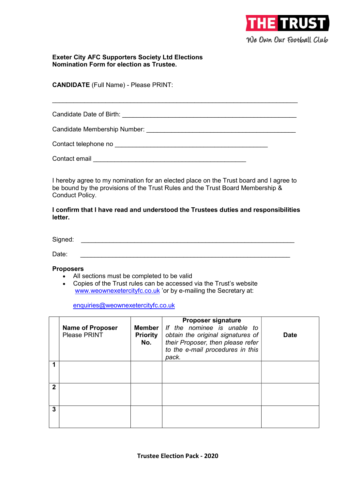

### Exeter City AFC Supporters Society Ltd Elections Nomination Form for election as Trustee.

CANDIDATE (Full Name) - Please PRINT:

Candidate Date of Birth: \_\_\_\_\_\_\_\_\_\_\_\_\_\_\_\_\_\_\_\_\_\_\_\_\_\_\_\_\_\_\_\_\_\_\_\_\_\_\_\_\_\_\_\_\_\_\_\_\_

 $\_$  , and the contribution of the contribution of  $\mathcal{L}_\mathbf{z}$ 

Candidate Membership Number: \_\_\_\_\_\_\_\_\_\_\_\_\_\_\_\_\_\_\_\_\_\_\_\_\_\_\_\_\_\_\_\_\_\_\_\_\_\_\_\_\_\_

Contact telephone no exercise that the contact telephone no exercise the contact of  $\mathbb{R}$ 

Contact email \_\_\_\_\_\_\_\_\_\_\_\_\_\_\_\_\_\_\_\_\_\_\_\_\_\_\_\_\_\_\_\_\_\_\_\_\_\_\_\_\_\_\_

I hereby agree to my nomination for an elected place on the Trust board and I agree to be bound by the provisions of the Trust Rules and the Trust Board Membership & Conduct Policy.

I confirm that I have read and understood the Trustees duties and responsibilities letter.

Signed:  $\Box$ 

Date: \_\_\_\_\_\_\_\_\_\_\_\_\_\_\_\_\_\_\_\_\_\_\_\_\_\_\_\_\_\_\_\_\_\_\_\_\_\_\_\_\_\_\_\_\_\_\_\_\_\_\_\_\_\_\_\_\_\_\_

#### **Proposers**

- All sections must be completed to be valid
- Copies of the Trust rules can be accessed via the Trust's website www.weownexetercityfc.co.uk 'or by e-mailing the Secretary at:

enquiries@weownexetercityfc.co.uk

|   | <b>Name of Proposer</b><br><b>Please PRINT</b> | Member<br><b>Priority</b><br>No. | <b>Proposer signature</b><br>If the nominee is unable to<br>obtain the original signatures of<br>their Proposer, then please refer<br>to the e-mail procedures in this<br>pack. | <b>Date</b> |
|---|------------------------------------------------|----------------------------------|---------------------------------------------------------------------------------------------------------------------------------------------------------------------------------|-------------|
|   |                                                |                                  |                                                                                                                                                                                 |             |
| 2 |                                                |                                  |                                                                                                                                                                                 |             |
| 3 |                                                |                                  |                                                                                                                                                                                 |             |